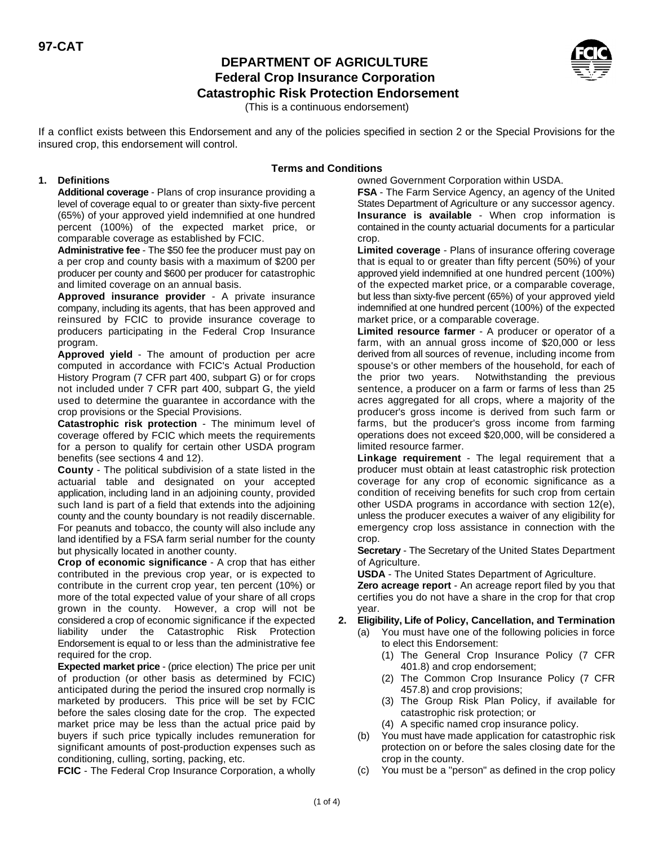# **DEPARTMENT OF AGRICULTURE Federal Crop Insurance Corporation Catastrophic Risk Protection Endorsement**



(This is a continuous endorsement)

If a conflict exists between this Endorsement and any of the policies specified in section 2 or the Special Provisions for the insured crop, this endorsement will control.

# **Terms and Conditions**

#### **1. Definitions**

**Additional coverage** - Plans of crop insurance providing a level of coverage equal to or greater than sixty-five percent (65%) of your approved yield indemnified at one hundred **Insurance is available** - When crop information is percent (100%) of the expected market price, or contained in the county actuarial documents for a particular comparable coverage as established by FCIC. The crop.

**Administrative fee** - The \$50 fee the producer must pay on **Limited coverage** - Plans of insurance offering coverage a per crop and county basis with a maximum of \$200 per that is equal to or greater than fifty percent (50%) of your producer per county and \$600 per producer for catastrophic approved yield indemnified at one hundred percent (100%) and limited coverage on an annual basis.  $\blacksquare$  of the expected market price, or a comparable coverage,

**Approved insurance provider** - A private insurance company, including its agents, that has been approved and reinsured by FCIC to provide insurance coverage to producers participating in the Federal Crop Insurance program. farm, with an annual gross income of \$20,000 or less

**Approved yield** - The amount of production per acre computed in accordance with FCIC's Actual Production History Program (7 CFR part 400, subpart G) or for crops not included under 7 CFR part 400, subpart G, the yield used to determine the guarantee in accordance with the crop provisions or the Special Provisions.

**Catastrophic risk protection** - The minimum level of coverage offered by FCIC which meets the requirements for a person to qualify for certain other USDA program benefits (see sections 4 and 12).

**County** - The political subdivision of a state listed in the actuarial table and designated on your accepted application, including land in an adjoining county, provided such land is part of a field that extends into the adjoining county and the county boundary is not readily discernable. For peanuts and tobacco, the county will also include any land identified by a FSA farm serial number for the county but physically located in another county.

**Crop of economic significance** - A crop that has either contributed in the previous crop year, or is expected to contribute in the current crop year, ten percent (10%) or **Zero acreage report** - An acreage report filed by you that more of the total expected value of your share of all crops certifies you do not have a share in the crop for that crop grown in the county. However, a crop will not be year. considered a crop of economic significance if the expected liability under the Catastrophic Risk Protection Endorsement is equal to or less than the administrative fee required for the crop.

**Expected market price** - (price election) The price per unit 401.8) and crop endorsement; of production (or other basis as determined by FCIC) (2) The Common Crop Insurance Policy (7 CFR anticipated during the period the insured crop normally is 457.8) and crop provisions; marketed by producers. This price will be set by FCIC (3) The Group Risk Plan Policy, if available for before the sales closing date for the crop. The expected catastrophic risk protection; or market price may be less than the actual price paid by (4) A specific named crop insurance policy. buyers if such price typically includes remuneration for (b) You must have made application for catastrophic risk significant amounts of post-production expenses such as protection on or before the sales closing date for the conditioning, culling, sorting, packing, etc. example and crop in the county.

**FCIC** - The Federal Crop Insurance Corporation, a wholly

owned Government Corporation within USDA.

**FSA** - The Farm Service Agency, an agency of the United States Department of Agriculture or any successor agency.

but less than sixty-five percent (65%) of your approved yield indemnified at one hundred percent (100%) of the expected market price, or a comparable coverage.

Limited resource farmer - A producer or operator of a derived from all sources of revenue, including income from spouse's or other members of the household, for each of the prior two years. Notwithstanding the previous sentence, a producer on a farm or farms of less than 25 acres aggregated for all crops, where a majority of the producer's gross income is derived from such farm or farms, but the producer's gross income from farming operations does not exceed \$20,000, will be considered a limited resource farmer.

**Linkage requirement** - The legal requirement that a producer must obtain at least catastrophic risk protection coverage for any crop of economic significance as a condition of receiving benefits for such crop from certain other USDA programs in accordance with section 12(e), unless the producer executes a waiver of any eligibility for emergency crop loss assistance in connection with the crop.

**Secretary** - The Secretary of the United States Department of Agriculture.

**USDA** - The United States Department of Agriculture.

### **2. Eligibility, Life of Policy, Cancellation, and Termination**

- (a) You must have one of the following policies in force to elect this Endorsement:
	- (1) The General Crop Insurance Policy (7 CFR
	-
	-
	-
- 
- (c) You must be a "person" as defined in the crop policy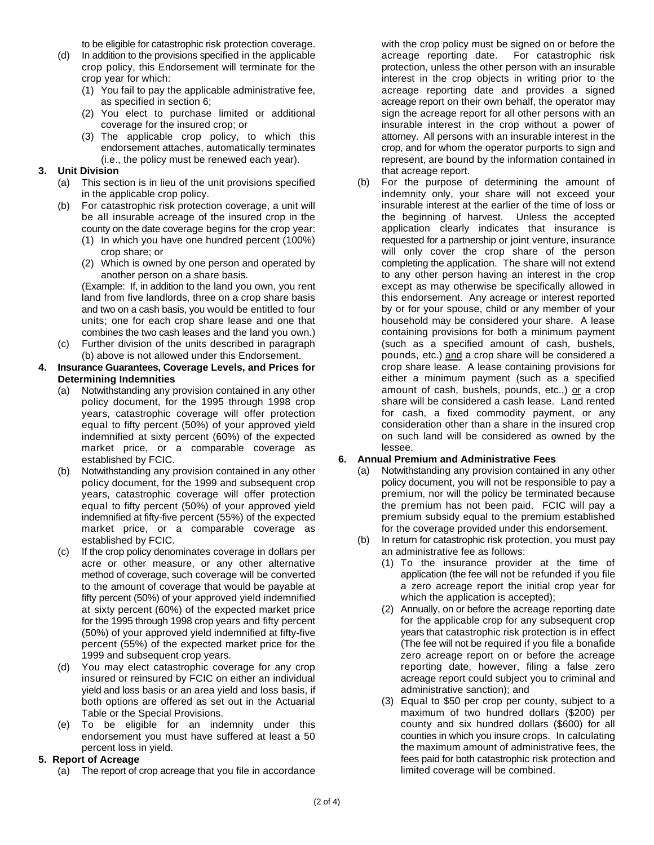- (d) In addition to the provisions specified in the applicable acreage reporting date. For catastrophic risk crop policy, this Endorsement will terminate for the protection, unless the other person with an insurable crop year for which: interest in the crop objects in writing prior to the
	- (1) You fail to pay the applicable administrative fee, acreage reporting date and provides a signed
	- (2) You elect to purchase limited or additional sign the acreage report for all other persons with an
	- (3) The applicable crop policy, to which this attorney. All persons with an insurable interest in the

# **3. Unit Division**

- (a) This section is in lieu of the unit provisions specified in the applicable crop policy.
- (b) For catastrophic risk protection coverage, a unit will be all insurable acreage of the insured crop in the county on the date coverage begins for the crop year:
	- (1) In which you have one hundred percent (100%) crop share; or
	- (2) Which is owned by one person and operated by another person on a share basis.

(Example: If, in addition to the land you own, you rent land from five landlords, three on a crop share basis and two on a cash basis, you would be entitled to four units; one for each crop share lease and one that combines the two cash leases and the land you own.)

(c) Further division of the units described in paragraph (b) above is not allowed under this Endorsement.

#### **4. Insurance Guarantees, Coverage Levels, and Prices for Determining Indemnities**

- (a) Notwithstanding any provision contained in any other policy document, for the 1995 through 1998 crop years, catastrophic coverage will offer protection equal to fifty percent (50%) of your approved yield indemnified at sixty percent (60%) of the expected market price, or a comparable coverage as established by FCIC.
- (b) Notwithstanding any provision contained in any other policy document, for the 1999 and subsequent crop years, catastrophic coverage will offer protection equal to fifty percent (50%) of your approved yield indemnified at fifty-five percent (55%) of the expected market price, or a comparable coverage as established by FCIC.
- (c) If the crop policy denominates coverage in dollars per acre or other measure, or any other alternative method of coverage, such coverage will be converted to the amount of coverage that would be payable at fifty percent (50%) of your approved yield indemnified at sixty percent (60%) of the expected market price for the 1995 through 1998 crop years and fifty percent (50%) of your approved yield indemnified at fifty-five percent (55%) of the expected market price for the 1999 and subsequent crop years.
- (d) You may elect catastrophic coverage for any crop insured or reinsured by FCIC on either an individual yield and loss basis or an area yield and loss basis, if both options are offered as set out in the Actuarial Table or the Special Provisions.
- (e) To be eligible for an indemnity under this endorsement you must have suffered at least a 50 percent loss in yield.

### **5. Report of Acreage**

(a) The report of crop acreage that you file in accordance

to be eligible for catastrophic risk protection coverage. with the crop policy must be signed on or before the as specified in section 6; acreage report on their own behalf, the operator may coverage for the insured crop; or insurable interest in the crop without a power of endorsement attaches, automatically terminates crop, and for whom the operator purports to sign and (i.e., the policy must be renewed each year). represent, are bound by the information contained in that acreage report.

(b) For the purpose of determining the amount of indemnity only, your share will not exceed your insurable interest at the earlier of the time of loss or the beginning of harvest. Unless the accepted application clearly indicates that insurance is requested for a partnership or joint venture, insurance will only cover the crop share of the person completing the application. The share will not extend to any other person having an interest in the crop except as may otherwise be specifically allowed in this endorsement. Any acreage or interest reported by or for your spouse, child or any member of your household may be considered your share. A lease containing provisions for both a minimum payment (such as a specified amount of cash, bushels, pounds, etc.) and a crop share will be considered a crop share lease. A lease containing provisions for either a minimum payment (such as a specified amount of cash, bushels, pounds, etc.,) or a crop share will be considered a cash lease. Land rented for cash, a fixed commodity payment, or any consideration other than a share in the insured crop on such land will be considered as owned by the lessee.

### **6. Annual Premium and Administrative Fees**

- (a) Notwithstanding any provision contained in any other policy document, you will not be responsible to pay a premium, nor will the policy be terminated because the premium has not been paid. FCIC will pay a premium subsidy equal to the premium established for the coverage provided under this endorsement.
- (b) In return for catastrophic risk protection, you must pay an administrative fee as follows:
	- (1) To the insurance provider at the time of application (the fee will not be refunded if you file a zero acreage report the initial crop year for which the application is accepted);
	- (2) Annually, on or before the acreage reporting date for the applicable crop for any subsequent crop years that catastrophic risk protection is in effect (The fee will not be required if you file a bonafide zero acreage report on or before the acreage reporting date, however, filing a false zero acreage report could subject you to criminal and administrative sanction); and
	- (3) Equal to \$50 per crop per county, subject to a maximum of two hundred dollars (\$200) per county and six hundred dollars (\$600) for all counties in which you insure crops. In calculating the maximum amount of administrative fees, the fees paid for both catastrophic risk protection and limited coverage will be combined.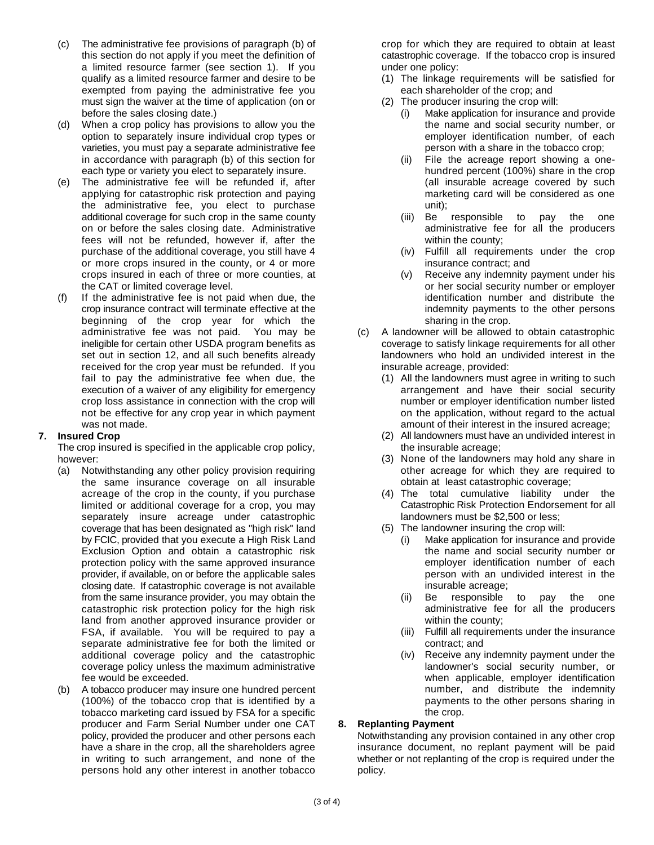- (c) The administrative fee provisions of paragraph (b) of crop for which they are required to obtain at least this section do not apply if you meet the definition of catastrophic coverage. If the tobacco crop is insured a limited resource farmer (see section 1). If you under one policy: qualify as a limited resource farmer and desire to be (1) The linkage requirements will be satisfied for exempted from paying the administrative fee you each shareholder of the crop; and must sign the waiver at the time of application (on or  $(2)$  The producer insuring the crop will: before the sales closing date.) (i) Make application for insurance and provide
- (d) When a crop policy has provisions to allow you the the the name and social security number, or option to separately insure individual crop types or employer identification number, of each varieties, you must pay a separate administrative fee person with a share in the tobacco crop; in accordance with paragraph (b) of this section for (ii) File the acreage report showing a oneeach type or variety you elect to separately insure. https://www.hundred percent (100%) share in the crop
- (e) The administrative fee will be refunded if, after (all insurable acreage covered by such applying for catastrophic risk protection and paying marketing card will be considered as one the administrative fee, you elect to purchase unit); additional coverage for such crop in the same county (iii) Be responsible to pay the one<br>on or before the sales closing date. Administrative **and administrative** fee for all the producers on or before the sales closing date. Administrative fees will not be refunded, however if, after the within the county; purchase of the additional coverage, you still have 4 (iv) Fulfill all requirements under the crop or more crops insured in the county, or 4 or more insurance contract; and crops insured in each of three or more counties, at (v) Receive any indemnity payment under his the CAT or limited coverage level.  $\blacksquare$  or her social security number or employer
- (f) If the administrative fee is not paid when due, the identification number and distribute the crop insurance contract will terminate effective at the indemnity payments to the other persons beginning of the crop year for which the state sharing in the crop. received for the crop year must be refunded. If you insurable acreage, provided: fail to pay the administrative fee when due, the (1) All the landowners must agree in writing to such execution of a waiver of any eligibility for emergency execution arrangement and have their social security crop loss assistance in connection with the crop will number or employer identification number listed not be effective for any crop year in which payment on the application, without regard to the actual

### **7. Insured Crop**

The crop insured is specified in the applicable crop policy, however:

- (a) Notwithstanding any other policy provision requiring the same insurance coverage on all insurable acreage of the crop in the county, if you purchase limited or additional coverage for a crop, you may separately insure acreage under catastrophic coverage that has been designated as "high risk" land by FCIC, provided that you execute a High Risk Land Exclusion Option and obtain a catastrophic risk protection policy with the same approved insurance provider, if available, on or before the applicable sales closing date. If catastrophic coverage is not available from the same insurance provider, you may obtain the catastrophic risk protection policy for the high risk land from another approved insurance provider or FSA, if available. You will be required to pay a separate administrative fee for both the limited or additional coverage policy and the catastrophic coverage policy unless the maximum administrative fee would be exceeded.
- (b) A tobacco producer may insure one hundred percent (100%) of the tobacco crop that is identified by a tobacco marketing card issued by FSA for a specific producer and Farm Serial Number under one CAT **8. Replanting Payment** persons hold any other interest in another tobacco policy.

- 
- -
	-
	-
	-
	-
- administrative fee was not paid. You may be (c) A landowner will be allowed to obtain catastrophic ineligible for certain other USDA program benefits as coverage to satisfy linkage requirements for all other set out in section 12, and all such benefits already landowners who hold an undivided interest in the
- was not made. Anomalous content interest in the insured acreage; the insured acreage;
	- (2) All landowners must have an undivided interest in the insurable acreage;
	- (3) None of the landowners may hold any share in other acreage for which they are required to obtain at least catastrophic coverage;
	- (4) The total cumulative liability under the Catastrophic Risk Protection Endorsement for all landowners must be \$2,500 or less;
	- (5) The landowner insuring the crop will:
		- (i) Make application for insurance and provide the name and social security number or employer identification number of each person with an undivided interest in the insurable acreage;
		- (ii) Be responsible to pay the one administrative fee for all the producers within the county;
		- (iii) Fulfill all requirements under the insurance contract; and
		- (iv) Receive any indemnity payment under the landowner's social security number, or when applicable, employer identification number, and distribute the indemnity payments to the other persons sharing in the crop.

policy, provided the producer and other persons each Notwithstanding any provision contained in any other crop have a share in the crop, all the shareholders agree insurance document, no replant payment will be paid in writing to such arrangement, and none of the whether or not replanting of the crop is required under the